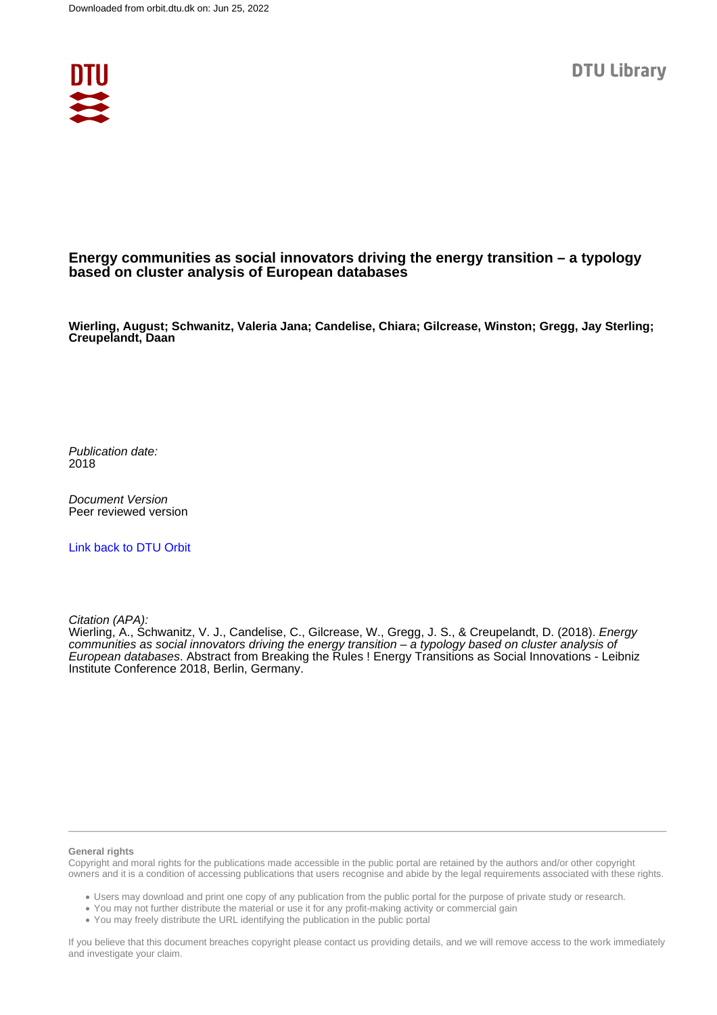

## **Energy communities as social innovators driving the energy transition – a typology based on cluster analysis of European databases**

**Wierling, August; Schwanitz, Valeria Jana; Candelise, Chiara; Gilcrease, Winston; Gregg, Jay Sterling; Creupelandt, Daan**

Publication date: 2018

Document Version Peer reviewed version

[Link back to DTU Orbit](https://orbit.dtu.dk/en/publications/54a42fa7-8ad6-43f5-9489-8909095ad2f5)

Citation (APA):

Wierling, A., Schwanitz, V. J., Candelise, C., Gilcrease, W., Gregg, J. S., & Creupelandt, D. (2018). *Energy* communities as social innovators driving the energy transition – a typology based on cluster analysis of European databases. Abstract from Breaking the Rules ! Energy Transitions as Social Innovations - Leibniz Institute Conference 2018, Berlin, Germany.

## **General rights**

Copyright and moral rights for the publications made accessible in the public portal are retained by the authors and/or other copyright owners and it is a condition of accessing publications that users recognise and abide by the legal requirements associated with these rights.

Users may download and print one copy of any publication from the public portal for the purpose of private study or research.

- You may not further distribute the material or use it for any profit-making activity or commercial gain
- You may freely distribute the URL identifying the publication in the public portal

If you believe that this document breaches copyright please contact us providing details, and we will remove access to the work immediately and investigate your claim.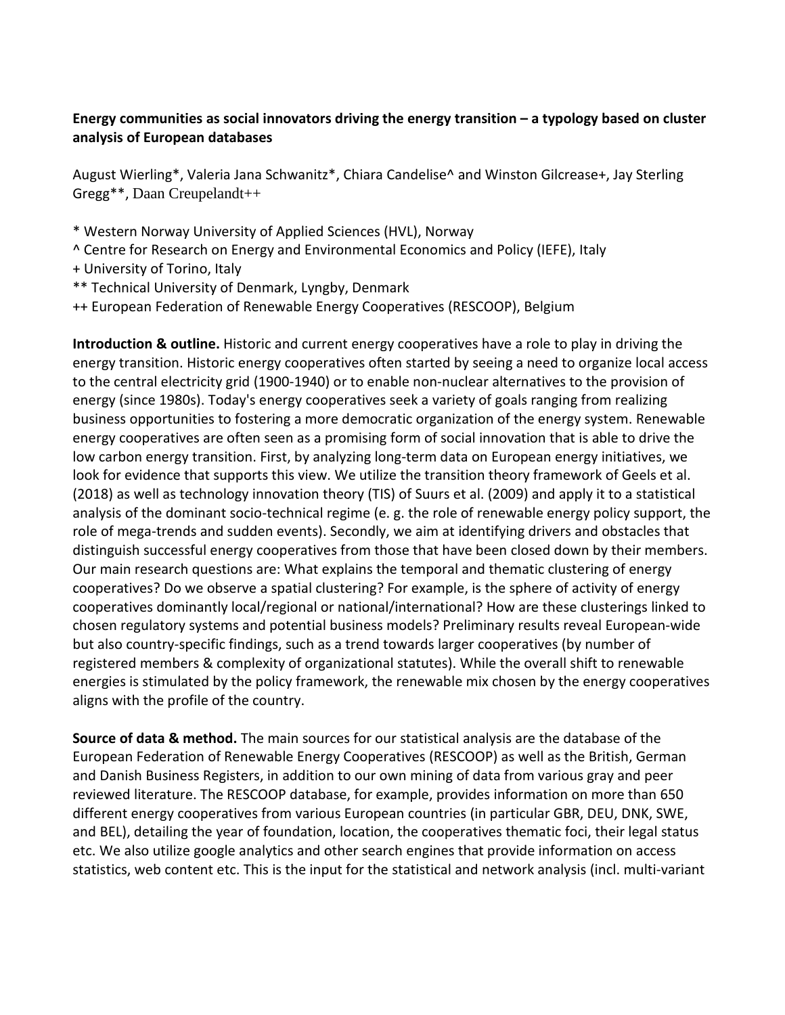## **Energy communities as social innovators driving the energy transition – a typology based on cluster analysis of European databases**

August Wierling\*, Valeria Jana Schwanitz\*, Chiara Candelise^ and Winston Gilcrease+, Jay Sterling Gregg\*\*, Daan Creupelandt++

- \* Western Norway University of Applied Sciences (HVL), Norway
- ^ Centre for Research on Energy and Environmental Economics and Policy (IEFE), Italy
- + University of Torino, Italy
- \*\* Technical University of Denmark, Lyngby, Denmark
- ++ European Federation of Renewable Energy Cooperatives (RESCOOP), Belgium

**Introduction & outline.** Historic and current energy cooperatives have a role to play in driving the energy transition. Historic energy cooperatives often started by seeing a need to organize local access to the central electricity grid (1900-1940) or to enable non-nuclear alternatives to the provision of energy (since 1980s). Today's energy cooperatives seek a variety of goals ranging from realizing business opportunities to fostering a more democratic organization of the energy system. Renewable energy cooperatives are often seen as a promising form of social innovation that is able to drive the low carbon energy transition. First, by analyzing long-term data on European energy initiatives, we look for evidence that supports this view. We utilize the transition theory framework of Geels et al. (2018) as well as technology innovation theory (TIS) of Suurs et al. (2009) and apply it to a statistical analysis of the dominant socio-technical regime (e. g. the role of renewable energy policy support, the role of mega-trends and sudden events). Secondly, we aim at identifying drivers and obstacles that distinguish successful energy cooperatives from those that have been closed down by their members. Our main research questions are: What explains the temporal and thematic clustering of energy cooperatives? Do we observe a spatial clustering? For example, is the sphere of activity of energy cooperatives dominantly local/regional or national/international? How are these clusterings linked to chosen regulatory systems and potential business models? Preliminary results reveal European-wide but also country-specific findings, such as a trend towards larger cooperatives (by number of registered members & complexity of organizational statutes). While the overall shift to renewable energies is stimulated by the policy framework, the renewable mix chosen by the energy cooperatives aligns with the profile of the country.

**Source of data & method.** The main sources for our statistical analysis are the database of the European Federation of Renewable Energy Cooperatives (RESCOOP) as well as the British, German and Danish Business Registers, in addition to our own mining of data from various gray and peer reviewed literature. The RESCOOP database, for example, provides information on more than 650 different energy cooperatives from various European countries (in particular GBR, DEU, DNK, SWE, and BEL), detailing the year of foundation, location, the cooperatives thematic foci, their legal status etc. We also utilize google analytics and other search engines that provide information on access statistics, web content etc. This is the input for the statistical and network analysis (incl. multi-variant